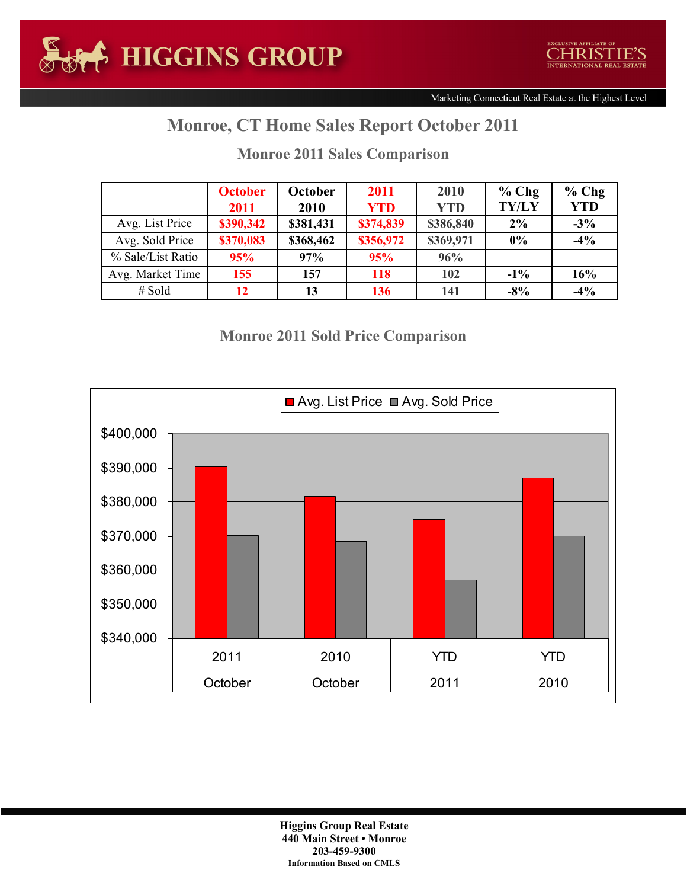## **Monroe, CT Home Sales Report October 2011**

|                   | <b>October</b> | October   | 2011       | 2010       | $%$ Chg      | $%$ Chg    |
|-------------------|----------------|-----------|------------|------------|--------------|------------|
|                   | 2011           | 2010      | <b>YTD</b> | <b>YTD</b> | <b>TY/LY</b> | <b>YTD</b> |
| Avg. List Price   | \$390,342      | \$381,431 | \$374,839  | \$386,840  | $2\%$        | $-3\%$     |
| Avg. Sold Price   | \$370,083      | \$368,462 | \$356,972  | \$369,971  | $0\%$        | $-4%$      |
| % Sale/List Ratio | 95%            | 97%       | 95%        | 96%        |              |            |
| Avg. Market Time  | 155            | 157       | 118        | 102        | $-1\%$       | 16%        |
| $#$ Sold          | 12             | 13        | 136        | 141        | $-8\%$       | $-4%$      |

## **Monroe 2011 Sales Comparison**

## **Monroe 2011 Sold Price Comparison**